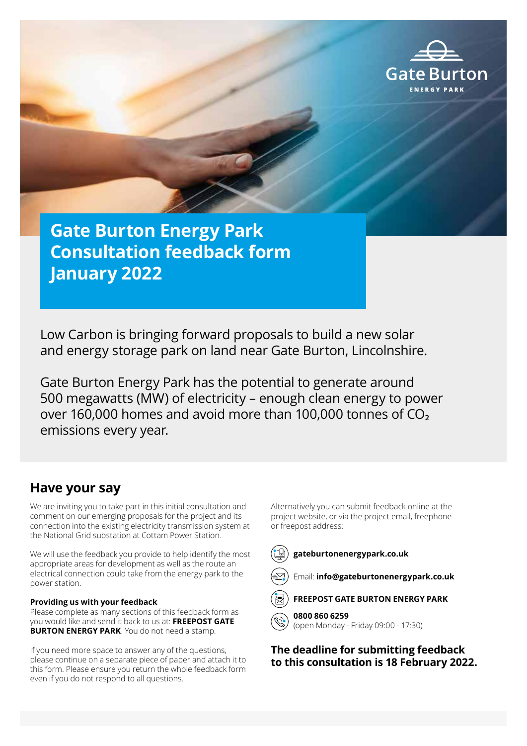

**Gate Burton Energy Park Consultation feedback form January 2022** 

Low Carbon is bringing forward proposals to build a new solar and energy storage park on land near Gate Burton, Lincolnshire.

Gate Burton Energy Park has the potential to generate around 500 megawatts (MW) of electricity – enough clean energy to power over 160,000 homes and avoid more than 100,000 tonnes of  $CO<sub>2</sub>$ emissions every year.

### **Have your say**

We are inviting you to take part in this initial consultation and comment on our emerging proposals for the project and its connection into the existing electricity transmission system at the National Grid substation at Cottam Power Station.

We will use the feedback you provide to help identify the most appropriate areas for development as well as the route an electrical connection could take from the energy park to the power station.

### **Providing us with your feedback**

Please complete as many sections of this feedback form as you would like and send it back to us at: **FREEPOST GATE BURTON ENERGY PARK**. You do not need a stamp.

If you need more space to answer any of the questions, please continue on a separate piece of paper and attach it to this form. Please ensure you return the whole feedback form even if you do not respond to all questions.

Alternatively you can submit feedback online at the project website, or via the project email, freephone or freepost address:



### **gateburtonenergypark.co.uk**



Email: **info@gateburtonenergypark.co.uk**



**FREEPOST GATE BURTON ENERGY PARK**

**0800 860 6259** 

(open Monday - Friday 09:00 - 17:30)

**The deadline for submitting feedback to this consultation is 18 February 2022.**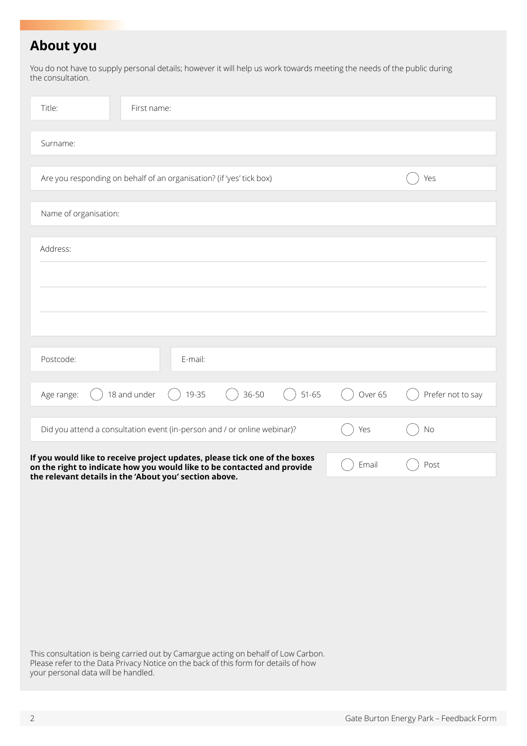## **About you**

You do not have to supply personal details; however it will help us work towards meeting the needs of the public during the consultation.

| Title:<br>First name:                                                                                                                                                                                           |         |                   |
|-----------------------------------------------------------------------------------------------------------------------------------------------------------------------------------------------------------------|---------|-------------------|
| Surname:                                                                                                                                                                                                        |         |                   |
| Are you responding on behalf of an organisation? (if 'yes' tick box)                                                                                                                                            |         | Yes               |
| Name of organisation:                                                                                                                                                                                           |         |                   |
| Address:                                                                                                                                                                                                        |         |                   |
|                                                                                                                                                                                                                 |         |                   |
|                                                                                                                                                                                                                 |         |                   |
| Postcode:<br>E-mail:                                                                                                                                                                                            |         |                   |
| 36-50<br>18 and under<br>19-35<br>$51 - 65$<br>Age range:                                                                                                                                                       | Over 65 | Prefer not to say |
| Did you attend a consultation event (in-person and / or online webinar)?                                                                                                                                        | Yes     | No                |
| If you would like to receive project updates, please tick one of the boxes<br>on the right to indicate how you would like to be contacted and provide<br>the relevant details in the 'About you' section above. | Email   | Post              |

This consultation is being carried out by Camargue acting on behalf of Low Carbon. Please refer to the Data Privacy Notice on the back of this form for details of how your personal data will be handled.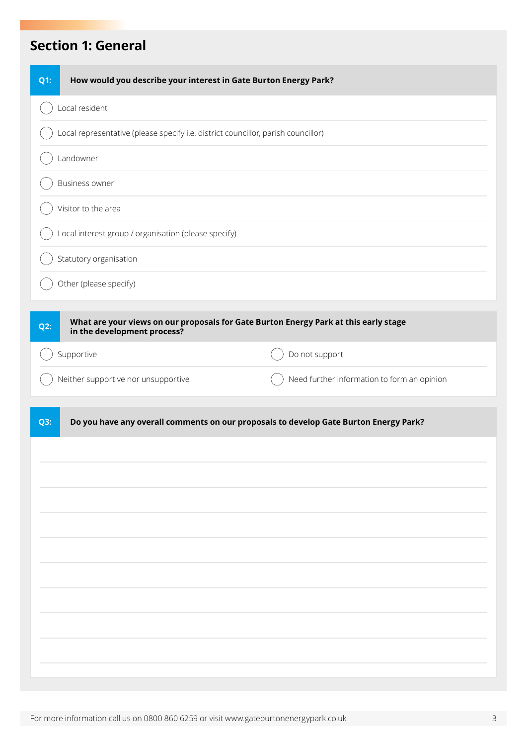## **Section 1: General**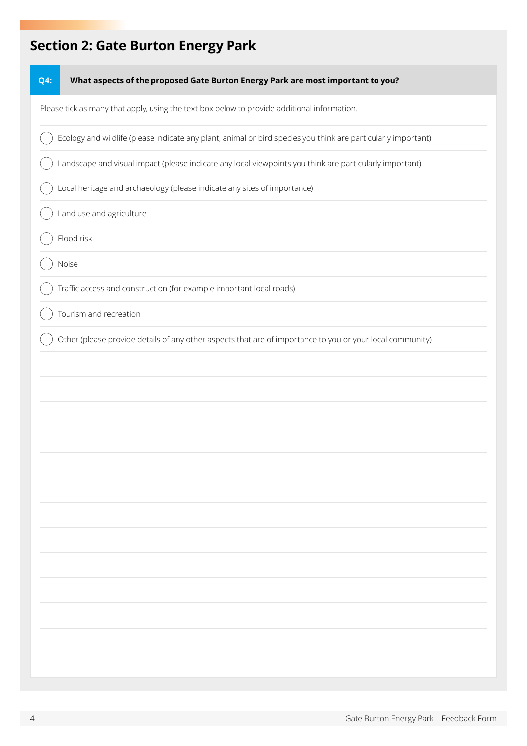# **Section 2: Gate Burton Energy Park**

| What aspects of the proposed Gate Burton Energy Park are most important to you?<br><b>Q4:</b>                 |  |
|---------------------------------------------------------------------------------------------------------------|--|
| Please tick as many that apply, using the text box below to provide additional information.                   |  |
| Ecology and wildlife (please indicate any plant, animal or bird species you think are particularly important) |  |
| Landscape and visual impact (please indicate any local viewpoints you think are particularly important)       |  |
| Local heritage and archaeology (please indicate any sites of importance)                                      |  |
| Land use and agriculture                                                                                      |  |
| Flood risk                                                                                                    |  |
| Noise                                                                                                         |  |
| Traffic access and construction (for example important local roads)                                           |  |
| Tourism and recreation                                                                                        |  |
| Other (please provide details of any other aspects that are of importance to you or your local community)     |  |
|                                                                                                               |  |
|                                                                                                               |  |
|                                                                                                               |  |
|                                                                                                               |  |
|                                                                                                               |  |
|                                                                                                               |  |
|                                                                                                               |  |
|                                                                                                               |  |
|                                                                                                               |  |
|                                                                                                               |  |
|                                                                                                               |  |
|                                                                                                               |  |
|                                                                                                               |  |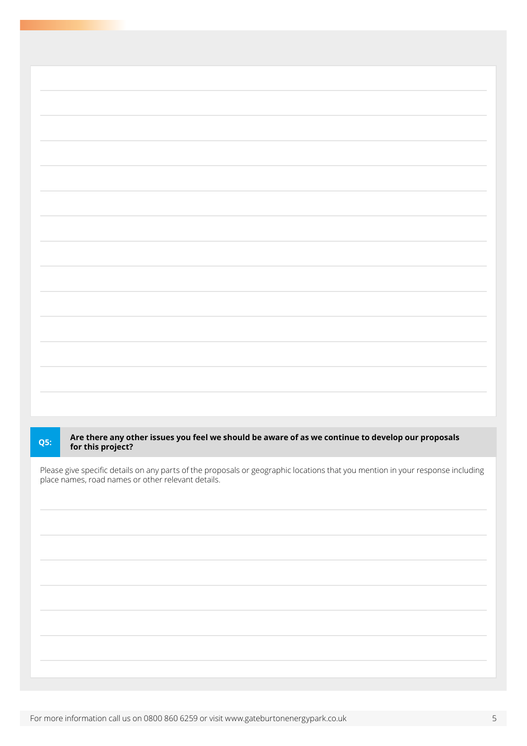# **Are there any other issues you feel we should be aware of as we continue to develop our proposals for this project? Q5:**

Please give specific details on any parts of the proposals or geographic locations that you mention in your response including place names, road names or other relevant details.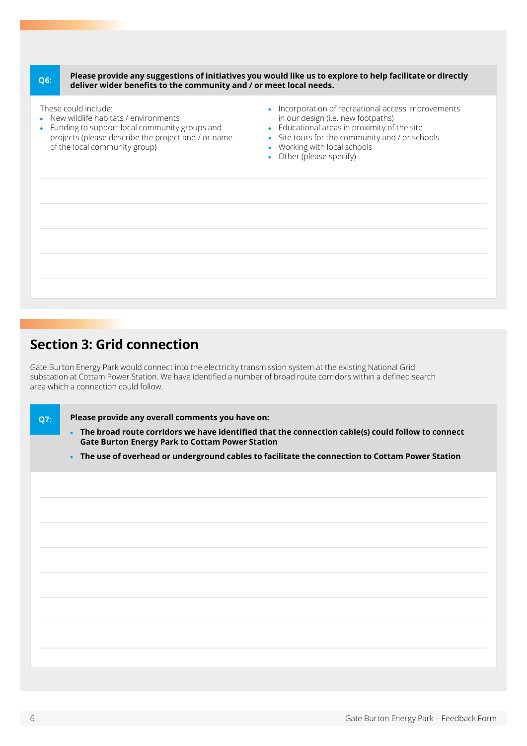### **Please provide any suggestions of initiatives you would like us to explore to help facilitate or directly deliver wider benefits to the community and / or meet local needs. Q6:**

These could include:

- New wildlife habitats / environments
- Funding to support local community groups and projects (please describe the project and / or name of the local community group)
- Incorporation of recreational access improvements in our design (i.e. new footpaths)
- Educational areas in proximity of the site
- Site tours for the community and / or schools
- Working with local schools
- Other (please specify)

### **Section 3: Grid connection**

Gate Burton Energy Park would connect into the electricity transmission system at the existing National Grid substation at Cottam Power Station. We have identified a number of broad route corridors within a defined search area which a connection could follow.

**Q7:**

**Please provide any overall comments you have on:**

- **The broad route corridors we have identified that the connection cable(s) could follow to connect Gate Burton Energy Park to Cottam Power Station**
- **The use of overhead or underground cables to facilitate the connection to Cottam Power Station**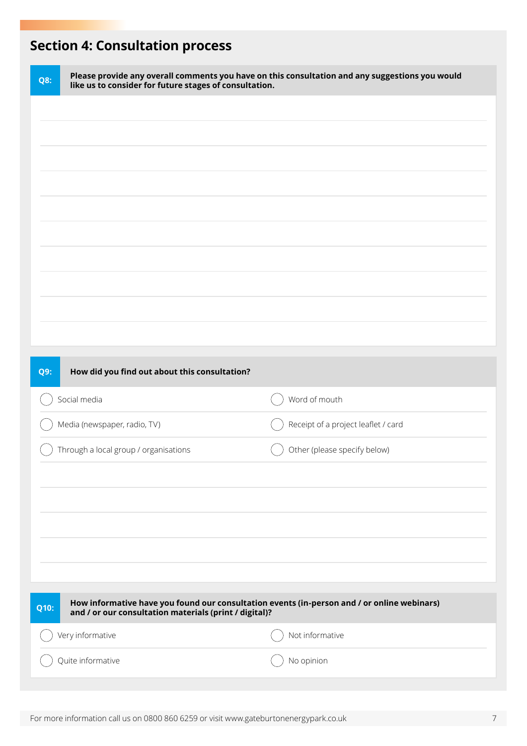# **Section 4: Consultation process**

| <b>Q8:</b> | like us to consider for future stages of consultation.                                                                                                | Please provide any overall comments you have on this consultation and any suggestions you would |
|------------|-------------------------------------------------------------------------------------------------------------------------------------------------------|-------------------------------------------------------------------------------------------------|
|            |                                                                                                                                                       |                                                                                                 |
|            |                                                                                                                                                       |                                                                                                 |
|            |                                                                                                                                                       |                                                                                                 |
|            |                                                                                                                                                       |                                                                                                 |
|            |                                                                                                                                                       |                                                                                                 |
|            |                                                                                                                                                       |                                                                                                 |
|            |                                                                                                                                                       |                                                                                                 |
|            |                                                                                                                                                       |                                                                                                 |
|            |                                                                                                                                                       |                                                                                                 |
| <b>Q9:</b> | How did you find out about this consultation?                                                                                                         |                                                                                                 |
|            |                                                                                                                                                       |                                                                                                 |
|            | Social media                                                                                                                                          | Word of mouth                                                                                   |
|            | Media (newspaper, radio, TV)                                                                                                                          | Receipt of a project leaflet / card                                                             |
|            | Through a local group / organisations                                                                                                                 | Other (please specify below)                                                                    |
|            |                                                                                                                                                       |                                                                                                 |
|            |                                                                                                                                                       |                                                                                                 |
|            |                                                                                                                                                       |                                                                                                 |
|            |                                                                                                                                                       |                                                                                                 |
| Q10:       | How informative have you found our consultation events (in-person and / or online webinars)<br>and / or our consultation materials (print / digital)? |                                                                                                 |
|            | Very informative                                                                                                                                      | Not informative                                                                                 |